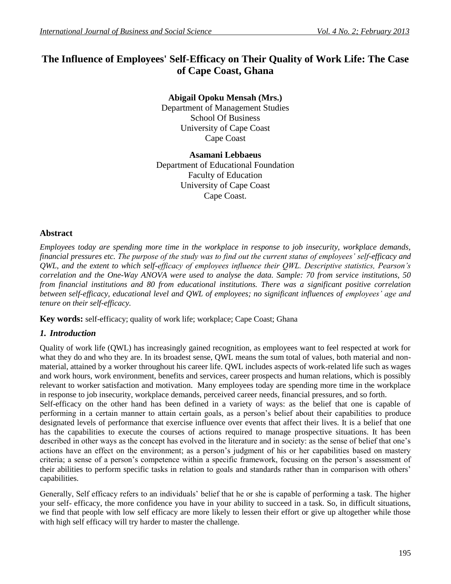# **The Influence of Employees' Self-Efficacy on Their Quality of Work Life: The Case of Cape Coast, Ghana**

**Abigail Opoku Mensah (Mrs.)** Department of Management Studies School Of Business University of Cape Coast Cape Coast

# **Asamani Lebbaeus**

Department of Educational Foundation Faculty of Education University of Cape Coast Cape Coast.

## **Abstract**

*Employees today are spending more time in the workplace in response to job insecurity, workplace demands, financial pressures etc. The purpose of the study was to find out the current status of employees' self-efficacy and QWL, and the extent to which self-efficacy of employees influence their QWL. Descriptive statistics, Pearson's correlation and the One-Way ANOVA were used to analyse the data. Sample: 70 from service institutions, 50 from financial institutions and 80 from educational institutions. There was a significant positive correlation between self-efficacy, educational level and QWL of employees; no significant influences of employees' age and tenure on their self-efficacy.* 

**Key words:** self-efficacy; quality of work life; workplace; Cape Coast; Ghana

# *1. Introduction*

Quality of work life (QWL) has increasingly gained recognition, as employees want to feel respected at work for what they do and who they are. In its broadest sense, QWL means the sum total of values, both material and nonmaterial, attained by a worker throughout his career life. QWL includes aspects of work-related life such as wages and work hours, work environment, benefits and services, career prospects and human relations, which is possibly relevant to worker satisfaction and motivation. Many employees today are spending more time in the workplace in response to job insecurity, workplace demands, perceived career needs, financial pressures, and so forth.

Self-efficacy on the other hand has been defined in a variety of ways: as the belief that one is capable of performing in a certain manner to attain certain goals, as a person's belief about their capabilities to produce designated levels of performance that exercise influence over events that affect their lives. It is a belief that one has the capabilities to execute the courses of actions required to manage prospective situations. It has been described in other ways as the concept has evolved in the literature and in society: as the sense of belief that one's actions have an effect on the environment; as a person's judgment of his or her capabilities based on mastery criteria; a sense of a person's competence within a specific framework, focusing on the person's assessment of their abilities to perform specific tasks in relation to goals and standards rather than in comparison with others' capabilities.

Generally, Self efficacy refers to an individuals' belief that he or she is capable of performing a task. The higher your self- efficacy, the more confidence you have in your ability to succeed in a task. So, in difficult situations, we find that people with low self efficacy are more likely to lessen their effort or give up altogether while those with high self efficacy will try harder to master the challenge.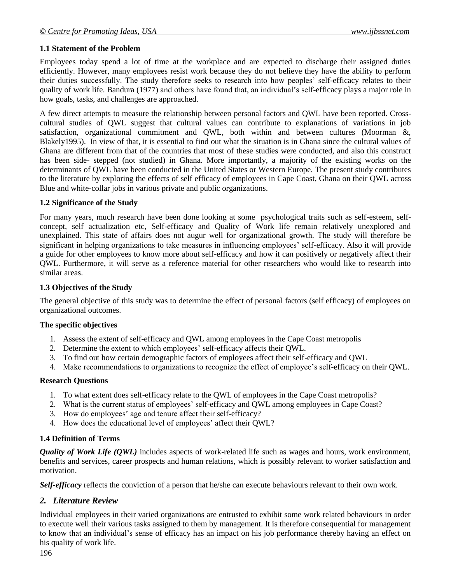#### **1.1 Statement of the Problem**

Employees today spend a lot of time at the workplace and are expected to discharge their assigned duties efficiently. However, many employees resist work because they do not believe they have the ability to perform their duties successfully. The study therefore seeks to research into how peoples' self-efficacy relates to their quality of work life. Bandura (1977) and others have found that, an individual's self-efficacy plays a major role in how goals, tasks, and challenges are approached.

A few direct attempts to measure the relationship between personal factors and QWL have been reported. Crosscultural studies of QWL suggest that cultural values can contribute to explanations of variations in job satisfaction, organizational commitment and QWL, both within and between cultures (Moorman &, Blakely1995). In view of that, it is essential to find out what the situation is in Ghana since the cultural values of Ghana are different from that of the countries that most of these studies were conducted, and also this construct has been side- stepped (not studied) in Ghana. More importantly, a majority of the existing works on the determinants of QWL have been conducted in the United States or Western Europe. The present study contributes to the literature by exploring the effects of self efficacy of employees in Cape Coast, Ghana on their QWL across Blue and white-collar jobs in various private and public organizations.

#### **1.2 Significance of the Study**

For many years, much research have been done looking at some psychological traits such as self-esteem, selfconcept, self actualization etc, Self-efficacy and Quality of Work life remain relatively unexplored and unexplained. This state of affairs does not augur well for organizational growth. The study will therefore be significant in helping organizations to take measures in influencing employees' self-efficacy. Also it will provide a guide for other employees to know more about self-efficacy and how it can positively or negatively affect their QWL. Furthermore, it will serve as a reference material for other researchers who would like to research into similar areas.

#### **1.3 Objectives of the Study**

The general objective of this study was to determine the effect of personal factors (self efficacy) of employees on organizational outcomes.

#### **The specific objectives**

- 1. Assess the extent of self-efficacy and QWL among employees in the Cape Coast metropolis
- 2. Determine the extent to which employees' self-efficacy affects their QWL.
- 3. To find out how certain demographic factors of employees affect their self-efficacy and QWL
- 4. Make recommendations to organizations to recognize the effect of employee's self-efficacy on their QWL.

#### **Research Questions**

- 1. To what extent does self-efficacy relate to the QWL of employees in the Cape Coast metropolis?
- 2. What is the current status of employees' self-efficacy and QWL among employees in Cape Coast?
- 3. How do employees' age and tenure affect their self-efficacy?
- 4. How does the educational level of employees' affect their QWL?

#### **1.4 Definition of Terms**

*Quality of Work Life (QWL)* includes aspects of work-related life such as wages and hours, work environment, benefits and services, career prospects and human relations, which is possibly relevant to worker satisfaction and motivation.

*Self-efficacy* reflects the conviction of a person that he/she can execute behaviours relevant to their own work.

# *2. Literature Review*

Individual employees in their varied organizations are entrusted to exhibit some work related behaviours in order to execute well their various tasks assigned to them by management. It is therefore consequential for management to know that an individual's sense of efficacy has an impact on his job performance thereby having an effect on his quality of work life.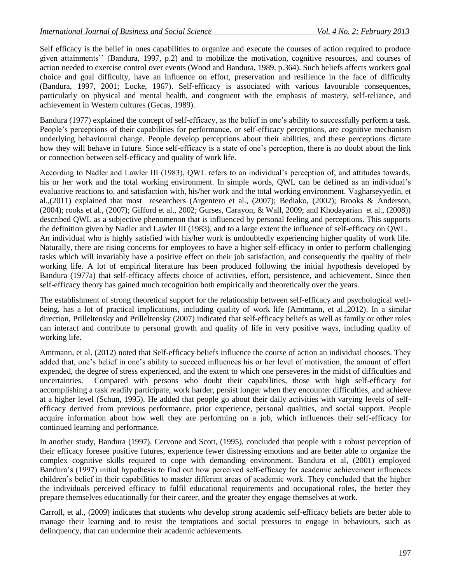Self efficacy is the belief in ones capabilities to organize and execute the courses of action required to produce given attainments'' (Bandura, 1997, p.2) and to mobilize the motivation, cognitive resources, and courses of action needed to exercise control over events (Wood and Bandura, 1989, p.364). Such beliefs affects workers goal choice and goal difficulty, have an influence on effort, preservation and resilience in the face of difficulty (Bandura, 1997, 2001; Locke, 1967). Self-efficacy is associated with various favourable consequences, particularly on physical and mental health, and congruent with the emphasis of mastery, self-reliance, and achievement in Western cultures (Gecas, 1989).

Bandura (1977) explained the concept of self-efficacy, as the belief in one's ability to successfully perform a task. People's perceptions of their capabilities for performance, or self-efficacy perceptions, are cognitive mechanism underlying behavioural change. People develop perceptions about their abilities, and these perceptions dictate how they will behave in future. Since self-efficacy is a state of one's perception, there is no doubt about the link or connection between self-efficacy and quality of work life.

According to Nadler and Lawler III (1983), QWL refers to an individual's perception of, and attitudes towards, his or her work and the total working environment. In simple words, QWL can be defined as an individual's evaluative reactions to, and satisfaction with, his/her work and the total working environment. Vagharseyyedin, et al.,(2011) explained that most researchers (Argentero et al., (2007); Bediako, (2002); Brooks & Anderson, (2004); rooks et al., (2007); Gifford et al., 2002; Gurses, Carayon, & Wall, 2009; and Khodayarian et al., (2008)) described QWL as a subjective phenomenon that is influenced by personal feeling and perceptions. This supports the definition given by Nadler and Lawler III (1983), and to a large extent the influence of self-efficacy on QWL. An individual who is highly satisfied with his/her work is undoubtedly experiencing higher quality of work life. Naturally, there are rising concerns for employees to have a higher self-efficacy in order to perform challenging tasks which will invariably have a positive effect on their job satisfaction, and consequently the quality of their working life. A lot of empirical literature has been produced following the initial hypothesis developed by Bandura (1977a) that self-efficacy affects choice of activities, effort, persistence, and achievement. Since then self-efficacy theory has gained much recognition both empirically and theoretically over the years.

The establishment of strong theoretical support for the relationship between self-efficacy and psychological wellbeing, has a lot of practical implications, including quality of work life (Amtmann, et al.,2012). In a similar direction, Prilleltensky and Prilleltensky (2007) indicated that self-efficacy beliefs as well as family or other roles can interact and contribute to personal growth and quality of life in very positive ways, including quality of working life.

Amtmann, et al. (2012) noted that Self-efficacy beliefs influence the course of action an individual chooses. They added that, one's belief in one's ability to succeed influences his or her level of motivation, the amount of effort expended, the degree of stress experienced, and the extent to which one perseveres in the midst of difficulties and uncertainties. Compared with persons who doubt their capabilities, those with high self-efficacy for accomplishing a task readily participate, work harder, persist longer when they encounter difficulties, and achieve at a higher level (Schun, 1995). He added that people go about their daily activities with varying levels of selfefficacy derived from previous performance, prior experience, personal qualities, and social support. People acquire information about how well they are performing on a job, which influences their self-efficacy for continued learning and performance.

In another study, Bandura (1997), Cervone and Scott, (1995), concluded that people with a robust perception of their efficacy foresee positive futures, experience fewer distressing emotions and are better able to organize the complex cognitive skills required to cope with demanding environment. Bandura et al, (2001) employed Bandura's (1997) initial hypothesis to find out how perceived self-efficacy for academic achievement influences children's belief in their capabilities to master different areas of academic work. They concluded that the higher the individuals perceived efficacy to fulfil educational requirements and occupational roles, the better they prepare themselves educationally for their career, and the greater they engage themselves at work.

Carroll, et al., (2009) indicates that students who develop strong academic self-efficacy beliefs are better able to manage their learning and to resist the temptations and social pressures to engage in behaviours, such as delinquency, that can undermine their academic achievements.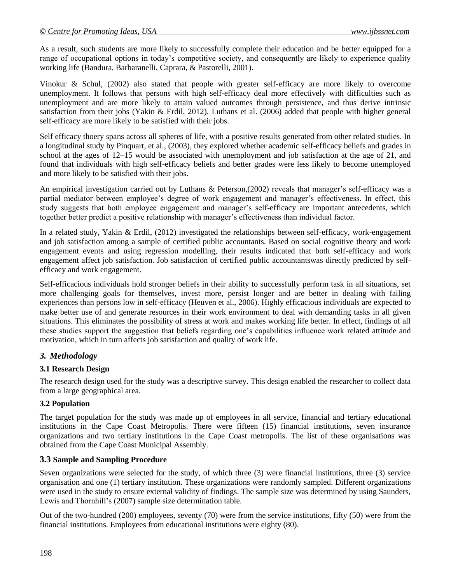As a result, such students are more likely to successfully complete their education and be better equipped for a range of occupational options in today's competitive society, and consequently are likely to experience quality working life (Bandura, Barbaranelli, Caprara, & Pastorelli, 2001).

Vinokur & Schul, (2002) also stated that people with greater self-efficacy are more likely to overcome unemployment. It follows that persons with high self-efficacy deal more effectively with difficulties such as unemployment and are more likely to attain valued outcomes through persistence, and thus derive intrinsic satisfaction from their jobs (Yakin & Erdil, 2012). Luthans et al. (2006) added that people with higher general self-efficacy are more likely to be satisfied with their jobs.

Self efficacy thoery spans across all spheres of life, with a positive results generated from other related studies. In a longitudinal study by Pinquart, et al., (2003), they explored whether academic self-efficacy beliefs and grades in school at the ages of 12–15 would be associated with unemployment and job satisfaction at the age of 21, and found that individuals with high self-efficacy beliefs and better grades were less likely to become unemployed and more likely to be satisfied with their jobs.

An empirical investigation carried out by Luthans & Peterson,(2002) reveals that manager's self-efficacy was a partial mediator between employee's degree of work engagement and manager's effectiveness. In effect, this study suggests that both employee engagement and manager's self-efficacy are important antecedents, which together better predict a positive relationship with manager's effectiveness than individual factor.

In a related study, Yakin & Erdil, (2012) investigated the relationships between self-efficacy, work-engagement and job satisfaction among a sample of certified public accountants. Based on social cognitive theory and work engagement events and using regression modelling, their results indicated that both self-efficacy and work engagement affect job satisfaction. Job satisfaction of certified public accountantswas directly predicted by selfefficacy and work engagement.

Self-efficacious individuals hold stronger beliefs in their ability to successfully perform task in all situations, set more challenging goals for themselves, invest more, persist longer and are better in dealing with failing experiences than persons low in self-efficacy (Heuven et al., 2006). Highly efficacious individuals are expected to make better use of and generate resources in their work environment to deal with demanding tasks in all given situations. This eliminates the possibility of stress at work and makes working life better. In effect, findings of all these studies support the suggestion that beliefs regarding one's capabilities influence work related attitude and motivation, which in turn affects job satisfaction and quality of work life.

# *3. Methodology*

# **3.1 Research Design**

The research design used for the study was a descriptive survey. This design enabled the researcher to collect data from a large geographical area.

#### **3.2 Population**

The target population for the study was made up of employees in all service, financial and tertiary educational institutions in the Cape Coast Metropolis. There were fifteen (15) financial institutions, seven insurance organizations and two tertiary institutions in the Cape Coast metropolis. The list of these organisations was obtained from the Cape Coast Municipal Assembly.

#### **3.3 Sample and Sampling Procedure**

Seven organizations were selected for the study, of which three (3) were financial institutions, three (3) service organisation and one (1) tertiary institution. These organizations were randomly sampled. Different organizations were used in the study to ensure external validity of findings. The sample size was determined by using Saunders, Lewis and Thornhill's (2007) sample size determination table.

Out of the two-hundred (200) employees, seventy (70) were from the service institutions, fifty (50) were from the financial institutions. Employees from educational institutions were eighty (80).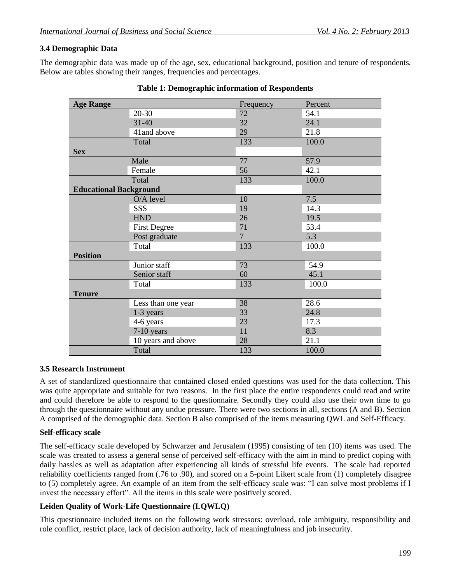#### **3.4 Demographic Data**

The demographic data was made up of the age, sex, educational background, position and tenure of respondents. Below are tables showing their ranges, frequencies and percentages.

| <b>Age Range</b>              |                     | Frequency      | Percent |
|-------------------------------|---------------------|----------------|---------|
|                               | $20 - 30$           | 72             | 54.1    |
|                               | $31 - 40$           | 32             | 24.1    |
|                               | 41and above         | 29             | 21.8    |
|                               | Total               | 133            | 100.0   |
| <b>Sex</b>                    |                     |                |         |
|                               | Male                | 77             | 57.9    |
|                               | Female              | 56             | 42.1    |
|                               | Total               | 133            | 100.0   |
| <b>Educational Background</b> |                     |                |         |
|                               | O/A level           | 10             | 7.5     |
|                               | <b>SSS</b>          | 19             | 14.3    |
|                               | <b>HND</b>          | 26             | 19.5    |
|                               | <b>First Degree</b> | 71             | 53.4    |
|                               | Post graduate       | $\overline{7}$ | 5.3     |
|                               | Total               | 133            | 100.0   |
| <b>Position</b>               |                     |                |         |
|                               | Junior staff        | 73             | 54.9    |
|                               | Senior staff        | 60             | 45.1    |
|                               | Total               | 133            | 100.0   |
| <b>Tenure</b>                 |                     |                |         |
|                               | Less than one year  | 38             | 28.6    |
|                               | 1-3 years           | 33             | 24.8    |
|                               | 4-6 years           | 23             | 17.3    |
|                               | 7-10 years          | 11             | 8.3     |
|                               | 10 years and above  | 28             | 21.1    |
|                               | Total               | 133            | 100.0   |

#### **3.5 Research Instrument**

A set of standardized questionnaire that contained closed ended questions was used for the data collection. This was quite appropriate and suitable for two reasons. In the first place the entire respondents could read and write and could therefore be able to respond to the questionnaire. Secondly they could also use their own time to go through the questionnaire without any undue pressure. There were two sections in all, sections (A and B). Section A comprised of the demographic data. Section B also comprised of the items measuring QWL and Self-Efficacy.

#### **Self-efficacy scale**

The self-efficacy scale developed by Schwarzer and Jerusalem (1995) consisting of ten (10) items was used. The scale was created to assess a general sense of perceived self-efficacy with the aim in mind to predict coping with daily hassles as well as adaptation after experiencing all kinds of stressful life events. The scale had reported reliability coefficients ranged from (.76 to .90), and scored on a 5-point Likert scale from (1) completely disagree to (5) completely agree. An example of an item from the self-efficacy scale was: "I can solve most problems if I invest the necessary effort". All the items in this scale were positively scored.

#### **Leiden Quality of Work-Life Questionnaire (LQWLQ)**

This questionnaire included items on the following work stressors: overload, role ambiguity, responsibility and role conflict, restrict place, lack of decision authority, lack of meaningfulness and job insecurity.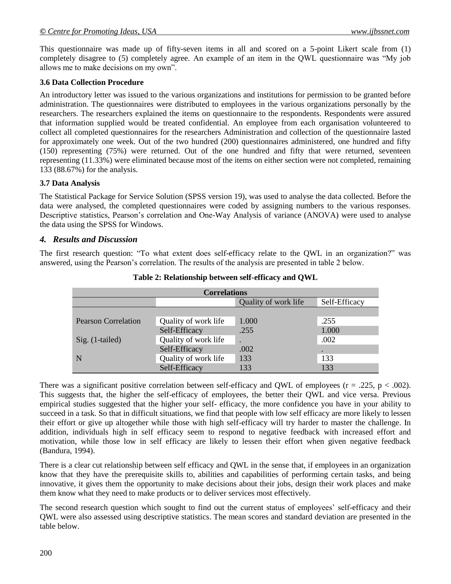This questionnaire was made up of fifty-seven items in all and scored on a 5-point Likert scale from (1) completely disagree to (5) completely agree. An example of an item in the OWL questionnaire was "My job allows me to make decisions on my own".

#### **3.6 Data Collection Procedure**

An introductory letter was issued to the various organizations and institutions for permission to be granted before administration. The questionnaires were distributed to employees in the various organizations personally by the researchers. The researchers explained the items on questionnaire to the respondents. Respondents were assured that information supplied would be treated confidential. An employee from each organisation volunteered to collect all completed questionnaires for the researchers Administration and collection of the questionnaire lasted for approximately one week. Out of the two hundred (200) questionnaires administered, one hundred and fifty (150) representing (75%) were returned. Out of the one hundred and fifty that were returned, seventeen representing (11.33%) were eliminated because most of the items on either section were not completed, remaining 133 (88.67%) for the analysis.

#### **3.7 Data Analysis**

The Statistical Package for Service Solution (SPSS version 19), was used to analyse the data collected. Before the data were analysed, the completed questionnaires were coded by assigning numbers to the various responses. Descriptive statistics, Pearson's correlation and One-Way Analysis of variance (ANOVA) were used to analyse the data using the SPSS for Windows.

#### *4. Results and Discussion*

The first research question: "To what extent does self-efficacy relate to the QWL in an organization?" was answered, using the Pearson's correlation. The results of the analysis are presented in table 2 below.

| <b>Correlations</b>                   |                      |       |       |  |  |  |
|---------------------------------------|----------------------|-------|-------|--|--|--|
| Self-Efficacy<br>Quality of work life |                      |       |       |  |  |  |
|                                       |                      |       |       |  |  |  |
| <b>Pearson Correlation</b>            | Quality of work life | 1.000 | .255  |  |  |  |
|                                       | Self-Efficacy        | .255  | 1.000 |  |  |  |
| Sig. (1-tailed)                       | Quality of work life |       | .002  |  |  |  |
|                                       | Self-Efficacy        | .002  |       |  |  |  |
| N                                     | Quality of work life | 133   | 133   |  |  |  |
|                                       | Self-Efficacy        | 133   | 133   |  |  |  |

**Table 2: Relationship between self-efficacy and QWL**

There was a significant positive correlation between self-efficacy and QWL of employees ( $r = .225$ ,  $p < .002$ ). This suggests that, the higher the self-efficacy of employees, the better their QWL and vice versa. Previous empirical studies suggested that the higher your self- efficacy, the more confidence you have in your ability to succeed in a task. So that in difficult situations, we find that people with low self efficacy are more likely to lessen their effort or give up altogether while those with high self-efficacy will try harder to master the challenge. In addition, individuals high in self efficacy seem to respond to negative feedback with increased effort and motivation, while those low in self efficacy are likely to lessen their effort when given negative feedback (Bandura, 1994).

There is a clear cut relationship between self efficacy and QWL in the sense that, if employees in an organization know that they have the prerequisite skills to, abilities and capabilities of performing certain tasks, and being innovative, it gives them the opportunity to make decisions about their jobs, design their work places and make them know what they need to make products or to deliver services most effectively.

The second research question which sought to find out the current status of employees' self-efficacy and their QWL were also assessed using descriptive statistics. The mean scores and standard deviation are presented in the table below.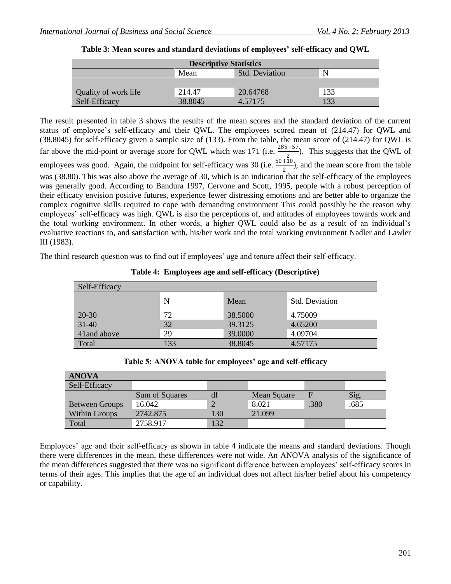| <b>Descriptive Statistics</b> |         |                       |     |  |  |  |  |
|-------------------------------|---------|-----------------------|-----|--|--|--|--|
|                               | Mean    | <b>Std. Deviation</b> | N   |  |  |  |  |
|                               |         |                       |     |  |  |  |  |
| Quality of work life          | 214.47  | 20.64768              | 133 |  |  |  |  |
| Self-Efficacy                 | 38.8045 | 4.57175               | 133 |  |  |  |  |

|  | Table 3: Mean scores and standard deviations of employees' self-efficacy and QWL |  |  |  |  |  |
|--|----------------------------------------------------------------------------------|--|--|--|--|--|
|--|----------------------------------------------------------------------------------|--|--|--|--|--|

The result presented in table 3 shows the results of the mean scores and the standard deviation of the current status of employee's self-efficacy and their QWL. The employees scored mean of (214.47) for QWL and (38.8045) for self-efficacy given a sample size of (133). From the table, the mean score of (214.47) for QWL is far above the mid-point or average score for QWL which was 171 (i.e.  $\frac{285+57}{2}$ ). This suggests that the QWL of employees was good. Again, the midpoint for self-efficacy was 30 (i.e.  $\frac{50+10}{2}$ ), and the mean score from the table was (38.80). This was also above the average of 30, which is an indication that the self-efficacy of the employees was generally good. According to Bandura 1997, Cervone and Scott, 1995, people with a robust perception of their efficacy envision positive futures, experience fewer distressing emotions and are better able to organize the complex cognitive skills required to cope with demanding environment This could possibly be the reason why employees' self-efficacy was high. QWL is also the perceptions of, and attitudes of employees towards work and the total working environment. In other words, a higher QWL could also be as a result of an individual's evaluative reactions to, and satisfaction with, his/her work and the total working environment Nadler and Lawler III (1983).

The third research question was to find out if employees' age and tenure affect their self-efficacy.

| Self-Efficacy |     |         |                       |  |  |
|---------------|-----|---------|-----------------------|--|--|
|               | N   | Mean    | <b>Std. Deviation</b> |  |  |
| $20 - 30$     | 72  | 38.5000 | 4.75009               |  |  |
| $31 - 40$     | 32  | 39.3125 | 4.65200               |  |  |
| 41 and above  | 29  | 39.0000 | 4.09704               |  |  |
| Total         | 133 | 38.8045 | 4.57175               |  |  |

**Table 4: Employees age and self-efficacy (Descriptive)**

| Table 5: ANOVA table for employees' age and self-efficacy |  |  |
|-----------------------------------------------------------|--|--|
|                                                           |  |  |

| <b>ANOVA</b>          |                |                |             |      |      |
|-----------------------|----------------|----------------|-------------|------|------|
| Self-Efficacy         |                |                |             |      |      |
|                       | Sum of Squares | df             | Mean Square |      | Sig. |
| <b>Between Groups</b> | 16.042         | $\overline{2}$ | 8.021       | .380 | .685 |
| <b>Within Groups</b>  | 2742.875       | 130            | 21.099      |      |      |
| Total                 | 2758.917       | 132            |             |      |      |

Employees' age and their self-efficacy as shown in table 4 indicate the means and standard deviations. Though there were differences in the mean, these differences were not wide. An ANOVA analysis of the significance of the mean differences suggested that there was no significant difference between employees' self-efficacy scores in terms of their ages. This implies that the age of an individual does not affect his/her belief about his competency or capability.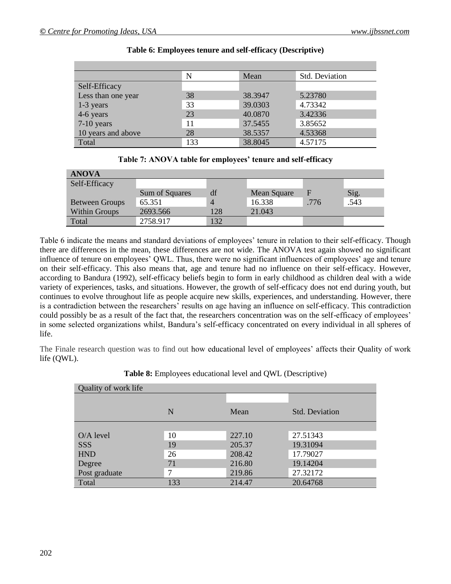|                    | N   | Mean    | <b>Std. Deviation</b> |
|--------------------|-----|---------|-----------------------|
| Self-Efficacy      |     |         |                       |
| Less than one year | 38  | 38.3947 | 5.23780               |
| 1-3 years          | 33  | 39.0303 | 4.73342               |
| 4-6 years          | 23  | 40.0870 | 3.42336               |
| $7-10$ years       | 11  | 37.5455 | 3.85652               |
| 10 years and above | 28  | 38.5357 | 4.53368               |
| Total              | 133 | 38.8045 | 4.57175               |

#### **Table 6: Employees tenure and self-efficacy (Descriptive)**

| Table 7: ANOVA table for employees' tenure and self-efficacy |  |
|--------------------------------------------------------------|--|
|--------------------------------------------------------------|--|

| <b>ANOVA</b>          |                |                |             |      |      |
|-----------------------|----------------|----------------|-------------|------|------|
| Self-Efficacy         |                |                |             |      |      |
|                       | Sum of Squares | df             | Mean Square |      | Sig. |
| <b>Between Groups</b> | 65.351         | $\overline{4}$ | 16.338      | .776 | .543 |
| <b>Within Groups</b>  | 2693.566       | 128            | 21.043      |      |      |
| Total                 | 2758.917       | 132            |             |      |      |

Table 6 indicate the means and standard deviations of employees' tenure in relation to their self-efficacy. Though there are differences in the mean, these differences are not wide. The ANOVA test again showed no significant influence of tenure on employees' QWL. Thus, there were no significant influences of employees' age and tenure on their self-efficacy. This also means that, age and tenure had no influence on their self-efficacy. However, according to Bandura (1992), self-efficacy beliefs begin to form in early childhood as children deal with a wide variety of experiences, tasks, and situations. However, the growth of self-efficacy does not end during youth, but continues to evolve throughout life as people acquire new skills, experiences, and understanding. However, there is a contradiction between the researchers' results on age having an influence on self-efficacy. This contradiction could possibly be as a result of the fact that, the researchers concentration was on the self-efficacy of employees' in some selected organizations whilst, Bandura's self-efficacy concentrated on every individual in all spheres of life.

The Finale research question was to find out how educational level of employees' affects their Quality of work life (QWL).

| Quality of work life |     |        |                       |  |  |  |
|----------------------|-----|--------|-----------------------|--|--|--|
|                      |     |        |                       |  |  |  |
|                      | N   | Mean   | <b>Std. Deviation</b> |  |  |  |
|                      |     |        |                       |  |  |  |
| $O/A$ level          | 10  | 227.10 | 27.51343              |  |  |  |
| <b>SSS</b>           | 19  | 205.37 | 19.31094              |  |  |  |
| <b>HND</b>           | 26  | 208.42 | 17.79027              |  |  |  |
| Degree               | 71  | 216.80 | 19.14204              |  |  |  |
| Post graduate        | ℸ   | 219.86 | 27.32172              |  |  |  |
| Total                | 133 | 214.47 | 20.64768              |  |  |  |

| Table 8: Employees educational level and QWL (Descriptive) |  |  |
|------------------------------------------------------------|--|--|
|------------------------------------------------------------|--|--|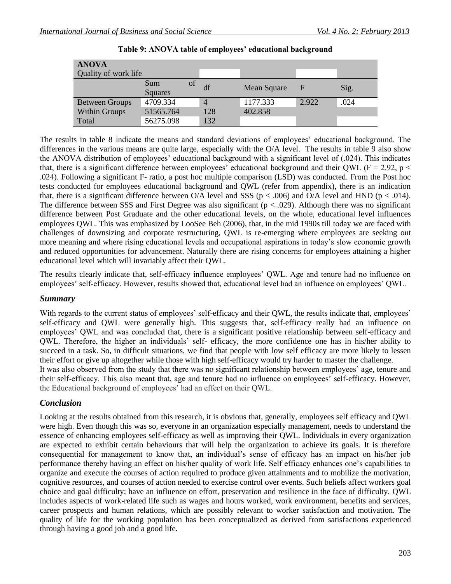| <b>ANOVA</b>          |                |    |     |             |       |      |
|-----------------------|----------------|----|-----|-------------|-------|------|
| Quality of work life  |                |    |     |             |       |      |
|                       | Sum            | οf | df  | Mean Square | F     |      |
|                       | <b>Squares</b> |    |     |             |       | Sig. |
| <b>Between Groups</b> | 4709.334       |    | 4   | 1177.333    | 2.922 | .024 |
| <b>Within Groups</b>  | 51565.764      |    | 128 | 402.858     |       |      |
| Total                 | 56275.098      |    | 132 |             |       |      |

| Table 9: ANOVA table of employees' educational background |  |  |  |  |
|-----------------------------------------------------------|--|--|--|--|
|-----------------------------------------------------------|--|--|--|--|

The results in table 8 indicate the means and standard deviations of employees' educational background. The differences in the various means are quite large, especially with the O/A level. The results in table 9 also show the ANOVA distribution of employees' educational background with a significant level of (.024). This indicates that, there is a significant difference between employees' educational background and their QWL ( $F = 2.92$ , p  $\le$ .024). Following a significant F- ratio, a post hoc multiple comparison (LSD) was conducted. From the Post hoc tests conducted for employees educational background and QWL (refer from appendix), there is an indication that, there is a significant difference between O/A level and SSS ( $p < .006$ ) and O/A level and HND ( $p < .014$ ). The difference between SSS and First Degree was also significant ( $p < .029$ ). Although there was no significant difference between Post Graduate and the other educational levels, on the whole, educational level influences employees QWL. This was emphasized by LooSee Beh (2006), that, in the mid 1990s till today we are faced with challenges of downsizing and corporate restructuring, QWL is re-emerging where employees are seeking out more meaning and where rising educational levels and occupational aspirations in today's slow economic growth and reduced opportunities for advancement. Naturally there are rising concerns for employees attaining a higher educational level which will invariably affect their QWL.

The results clearly indicate that, self-efficacy influence employees' QWL. Age and tenure had no influence on employees' self-efficacy. However, results showed that, educational level had an influence on employees' QWL.

#### *Summary*

With regards to the current status of employees' self-efficacy and their OWL, the results indicate that, employees' self-efficacy and QWL were generally high. This suggests that, self-efficacy really had an influence on employees' QWL and was concluded that, there is a significant positive relationship between self-efficacy and QWL. Therefore, the higher an individuals' self- efficacy, the more confidence one has in his/her ability to succeed in a task. So, in difficult situations, we find that people with low self efficacy are more likely to lessen their effort or give up altogether while those with high self-efficacy would try harder to master the challenge. It was also observed from the study that there was no significant relationship between employees' age, tenure and their self-efficacy. This also meant that, age and tenure had no influence on employees' self-efficacy. However,

the Educational background of employees' had an effect on their QWL.

#### *Conclusion*

Looking at the results obtained from this research, it is obvious that, generally, employees self efficacy and QWL were high. Even though this was so, everyone in an organization especially management, needs to understand the essence of enhancing employees self-efficacy as well as improving their QWL. Individuals in every organization are expected to exhibit certain behaviours that will help the organization to achieve its goals. It is therefore consequential for management to know that, an individual's sense of efficacy has an impact on his/her job performance thereby having an effect on his/her quality of work life. Self efficacy enhances one's capabilities to organize and execute the courses of action required to produce given attainments and to mobilize the motivation, cognitive resources, and courses of action needed to exercise control over events. Such beliefs affect workers goal choice and goal difficulty; have an influence on effort, preservation and resilience in the face of difficulty. QWL includes aspects of work-related life such as wages and hours worked, work environment, benefits and services, career prospects and human relations, which are possibly relevant to worker satisfaction and motivation. The quality of life for the working population has been conceptualized as derived from satisfactions experienced through having a good job and a good life.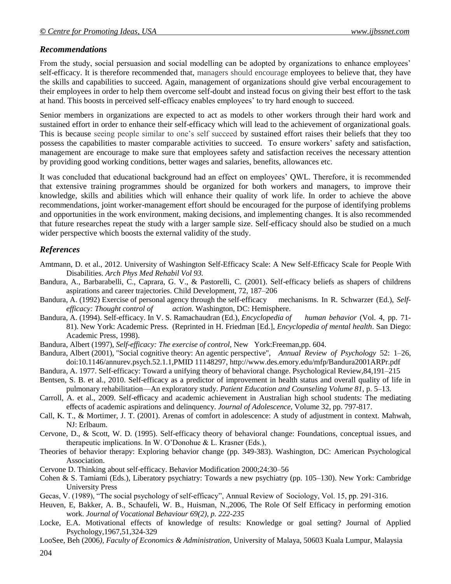#### *Recommendations*

From the study, social persuasion and social modelling can be adopted by organizations to enhance employees' self-efficacy. It is therefore recommended that, managers should encourage employees to believe that, they have the skills and capabilities to succeed. Again, management of organizations should give verbal encouragement to their employees in order to help them overcome self-doubt and instead focus on giving their best effort to the task at hand. This boosts in perceived self-efficacy enables employees' to try hard enough to succeed.

Senior members in organizations are expected to act as models to other workers through their hard work and sustained effort in order to enhance their self-efficacy which will lead to the achievement of organizational goals. This is because seeing people similar to one's self succeed by sustained effort raises their beliefs that they too possess the capabilities to master comparable activities to succeed. To ensure workers' safety and satisfaction, management are encourage to make sure that employees safety and satisfaction receives the necessary attention by providing good working conditions, better wages and salaries, benefits, allowances etc.

It was concluded that educational background had an effect on employees' QWL. Therefore, it is recommended that extensive training programmes should be organized for both workers and managers, to improve their knowledge, skills and abilities which will enhance their quality of work life. In order to achieve the above recommendations, joint worker-management effort should be encouraged for the purpose of identifying problems and opportunities in the work environment, making decisions, and implementing changes. It is also recommended that future researches repeat the study with a larger sample size. Self-efficacy should also be studied on a much wider perspective which boosts the external validity of the study.

## *References*

- Amtmann, D. et al., 2012. University of Washington Self-Efficacy Scale: A New Self-Efficacy Scale for People With Disabilities. *Arch Phys Med Rehabil Vol 93.*
- Bandura, A., Barbarabelli, C., Caprara, G. V., & Pastorelli, C. (2001). Self-efficacy beliefs as shapers of childrens aspirations and career trajectories. Child Development, 72, 187–206
- Bandura, A. (1992) Exercise of personal agency through the self-efficacy mechanisms. In R. Schwarzer (Ed.), *Selfefficacy: Thought control of action.* Washington, DC: Hemisphere.
- Bandura, A. (1994). Self-efficacy. In V. S. Ramachaudran (Ed.), *Encyclopedia of human behavior* (Vol. 4, pp. 71- 81). New York: Academic Press. (Reprinted in H. Friedman [Ed.], *Encyclopedia of mental health*. San Diego: Academic Press, 1998).
- [Bandura, Albert](http://en.wikipedia.org/wiki/Albert_Bandura) (1997), *Self-efficacy: The exercise of control*, New York:Freeman,pp. 604.
- Bandura, Albert (2001), "Social cognitive theory: An agentic perspective", *Annual Review of Psychology* 52: 1–26, doi:10.1146/annurev.psych.52.1.1,PMID 11148297, http://www.des.emory.edu/mfp/Bandura2001ARPr.pdf
- Bandura, A. 1977. Self-efficacy: Toward a unifying theory of behavioral change. Psychological Review,84,191–215
- Bentsen, S. B. et al., 2010. Self-efficacy as a predictor of improvement in health status and overall quality of life in pulmonary rehabilitation—An exploratory study. *Patient Education and Counseling Volume 81,* p. 5–13.
- Carroll, A. et al., 2009. Self-efficacy and academic achievement in Australian high school students: The mediating effects of academic aspirations and delinquency. *Journal of Adolescence,* Volume 32, pp. 797-817.
- Call, K. T., & Mortimer, J. T. (2001). Arenas of comfort in adolescence: A study of adjustment in context. Mahwah, NJ: Erlbaum.
- Cervone, D., & Scott, W. D. (1995). Self-efficacy theory of behavioral change: Foundations, conceptual issues, and therapeutic implications. In W. O'Donohue & L. Krasner (Eds.),
- Theories of behavior therapy: Exploring behavior change (pp. 349-383). Washington, DC: American Psychological Association.
- Cervone D. Thinking about self-efficacy. Behavior Modification 2000;24:30–56
- Cohen & S. Tamiami (Eds.), Liberatory psychiatry: Towards a new psychiatry (pp. 105–130). New York: Cambridge University Press
- Gecas, V. (1989), "The social psychology of self-efficacy", Annual Review of Sociology, Vol. 15, pp. 291-316.
- Heuven, E, Bakker, A. B., Schaufeli, W. B., Huisman, N.,2006, The Role Of Self Efficacy in performing emotion work. *Journal of Vocational Behaviour 69(2), p. 222-235*
- Locke, E.A. Motivational effects of knowledge of results: Knowledge or goal setting? Journal of Applied Psychology,1967,51,324-329
- LooSee, Beh (2006*), Faculty of Economics & Administration,* University of Malaya, 50603 Kuala Lumpur, Malaysia